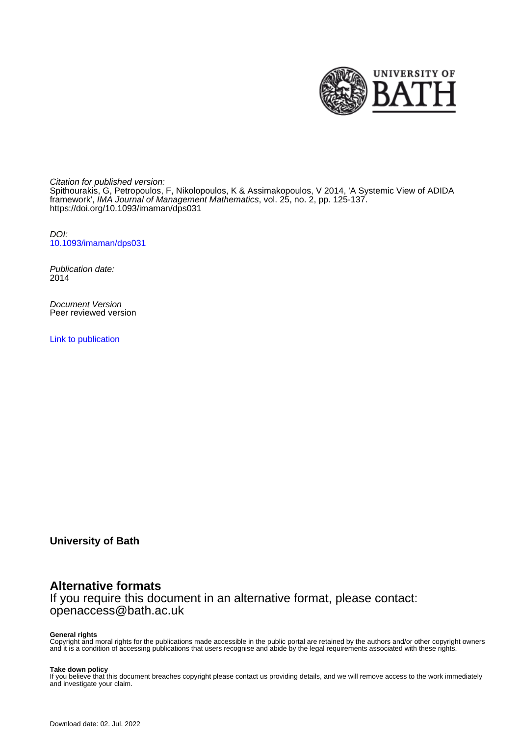

Citation for published version: Spithourakis, G, Petropoulos, F, Nikolopoulos, K & Assimakopoulos, V 2014, 'A Systemic View of ADIDA framework', IMA Journal of Management Mathematics, vol. 25, no. 2, pp. 125-137. <https://doi.org/10.1093/imaman/dps031>

DOI: [10.1093/imaman/dps031](https://doi.org/10.1093/imaman/dps031)

Publication date: 2014

Document Version Peer reviewed version

[Link to publication](https://researchportal.bath.ac.uk/en/publications/a-systemic-view-of-adida-framework(2e7684d4-cca2-493e-8846-0779fe5c38d0).html)

**University of Bath**

## **Alternative formats**

If you require this document in an alternative format, please contact: openaccess@bath.ac.uk

#### **General rights**

Copyright and moral rights for the publications made accessible in the public portal are retained by the authors and/or other copyright owners and it is a condition of accessing publications that users recognise and abide by the legal requirements associated with these rights.

#### **Take down policy**

If you believe that this document breaches copyright please contact us providing details, and we will remove access to the work immediately and investigate your claim.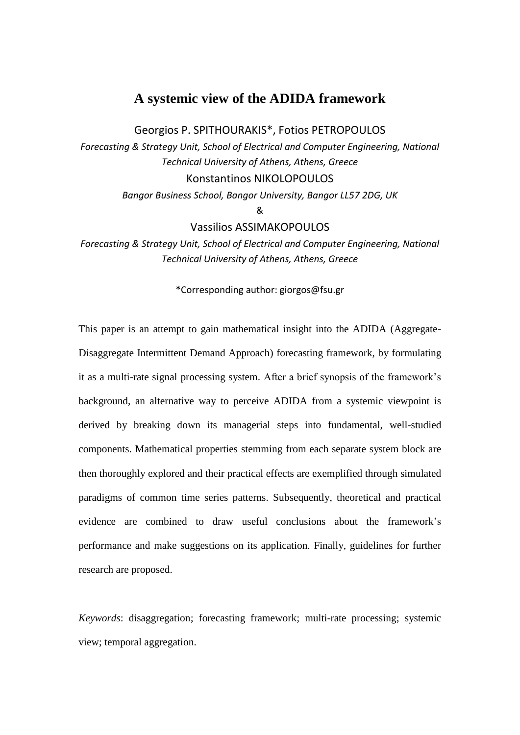# **A systemic view of the ADIDA framework**

Georgios P. SPITHOURAKIS\*, Fotios PETROPOULOS

*Forecasting & Strategy Unit, School of Electrical and Computer Engineering, National Technical University of Athens, Athens, Greece* Konstantinos NIKOLOPOULOS

*Bangor Business School, Bangor University, Bangor LL57 2DG, UK*

&

Vassilios ASSIMAKOPOULOS

*Forecasting & Strategy Unit, School of Electrical and Computer Engineering, National Technical University of Athens, Athens, Greece*

\*Corresponding author: giorgos@fsu.gr

This paper is an attempt to gain mathematical insight into the ADIDA (Aggregate-Disaggregate Intermittent Demand Approach) forecasting framework, by formulating it as a multi-rate signal processing system. After a brief synopsis of the framework's background, an alternative way to perceive ADIDA from a systemic viewpoint is derived by breaking down its managerial steps into fundamental, well-studied components. Mathematical properties stemming from each separate system block are then thoroughly explored and their practical effects are exemplified through simulated paradigms of common time series patterns. Subsequently, theoretical and practical evidence are combined to draw useful conclusions about the framework's performance and make suggestions on its application. Finally, guidelines for further research are proposed.

*Keywords*: disaggregation; forecasting framework; multi-rate processing; systemic view; temporal aggregation.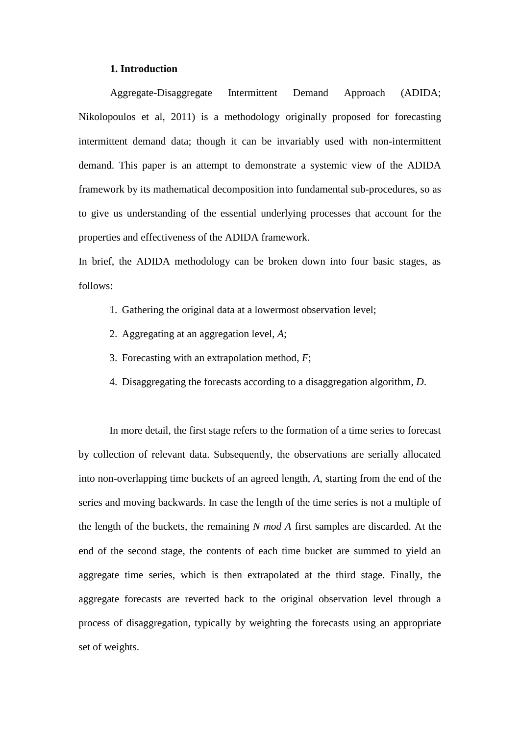#### **1. Introduction**

Aggregate-Disaggregate Intermittent Demand Approach (ADIDA; Nikolopoulos et al, 2011) is a methodology originally proposed for forecasting intermittent demand data; though it can be invariably used with non-intermittent demand. This paper is an attempt to demonstrate a systemic view of the ADIDA framework by its mathematical decomposition into fundamental sub-procedures, so as to give us understanding of the essential underlying processes that account for the properties and effectiveness of the ADIDA framework.

In brief, the ADIDA methodology can be broken down into four basic stages, as follows:

- 1. Gathering the original data at a lowermost observation level;
- 2. Aggregating at an aggregation level, *A*;
- 3. Forecasting with an extrapolation method, *F*;
- 4. Disaggregating the forecasts according to a disaggregation algorithm, *D*.

In more detail, the first stage refers to the formation of a time series to forecast by collection of relevant data. Subsequently, the observations are serially allocated into non-overlapping time buckets of an agreed length, *A*, starting from the end of the series and moving backwards. In case the length of the time series is not a multiple of the length of the buckets, the remaining *N mod A* first samples are discarded. At the end of the second stage, the contents of each time bucket are summed to yield an aggregate time series, which is then extrapolated at the third stage. Finally, the aggregate forecasts are reverted back to the original observation level through a process of disaggregation, typically by weighting the forecasts using an appropriate set of weights.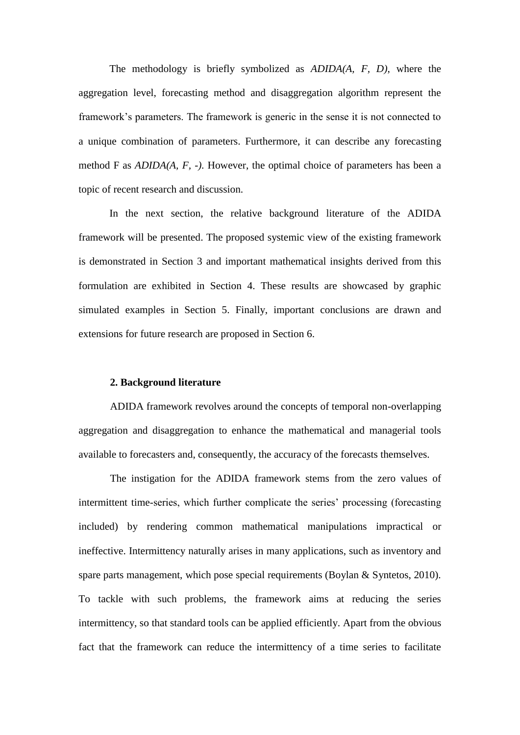The methodology is briefly symbolized as *ADIDA(A, F, D)*, where the aggregation level, forecasting method and disaggregation algorithm represent the framework's parameters. The framework is generic in the sense it is not connected to a unique combination of parameters. Furthermore, it can describe any forecasting method F as *ADIDA(A, F, -)*. However, the optimal choice of parameters has been a topic of recent research and discussion.

In the next section, the relative background literature of the ADIDA framework will be presented. The proposed systemic view of the existing framework is demonstrated in Section 3 and important mathematical insights derived from this formulation are exhibited in Section 4. These results are showcased by graphic simulated examples in Section 5. Finally, important conclusions are drawn and extensions for future research are proposed in Section 6.

#### **2. Background literature**

ADIDA framework revolves around the concepts of temporal non-overlapping aggregation and disaggregation to enhance the mathematical and managerial tools available to forecasters and, consequently, the accuracy of the forecasts themselves.

The instigation for the ADIDA framework stems from the zero values of intermittent time-series, which further complicate the series' processing (forecasting included) by rendering common mathematical manipulations impractical or ineffective. Intermittency naturally arises in many applications, such as inventory and spare parts management, which pose special requirements (Boylan & Syntetos, 2010). To tackle with such problems, the framework aims at reducing the series intermittency, so that standard tools can be applied efficiently. Apart from the obvious fact that the framework can reduce the intermittency of a time series to facilitate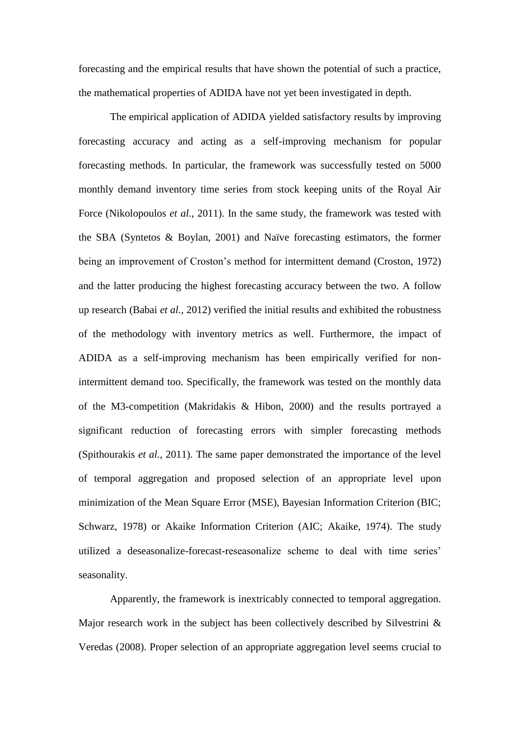forecasting and the empirical results that have shown the potential of such a practice, the mathematical properties of ADIDA have not yet been investigated in depth.

The empirical application of ADIDA yielded satisfactory results by improving forecasting accuracy and acting as a self-improving mechanism for popular forecasting methods. In particular, the framework was successfully tested on 5000 monthly demand inventory time series from stock keeping units of the Royal Air Force (Nikolopoulos *et al.*, 2011). In the same study, the framework was tested with the SBA (Syntetos & Boylan, 2001) and Naïve forecasting estimators, the former being an improvement of Croston's method for intermittent demand (Croston, 1972) and the latter producing the highest forecasting accuracy between the two. A follow up research (Babai *et al.*, 2012) verified the initial results and exhibited the robustness of the methodology with inventory metrics as well. Furthermore, the impact of ADIDA as a self-improving mechanism has been empirically verified for nonintermittent demand too. Specifically, the framework was tested on the monthly data of the M3-competition (Makridakis & Hibon, 2000) and the results portrayed a significant reduction of forecasting errors with simpler forecasting methods (Spithourakis *et al.*, 2011). The same paper demonstrated the importance of the level of temporal aggregation and proposed selection of an appropriate level upon minimization of the Mean Square Error (MSE), Bayesian Information Criterion (BIC; Schwarz, 1978) or Akaike Information Criterion (AIC; [Akaike,](http://en.wikipedia.org/wiki/Hirotsugu_Akaike) 1974). The study utilized a deseasonalize-forecast-reseasonalize scheme to deal with time series' seasonality.

Apparently, the framework is inextricably connected to temporal aggregation. Major research work in the subject has been collectively described by Silvestrini  $\&$ Veredas (2008). Proper selection of an appropriate aggregation level seems crucial to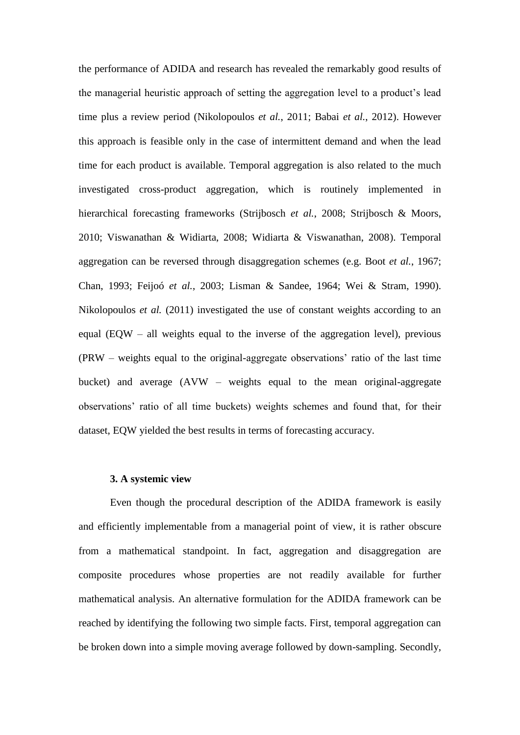the performance of ADIDA and research has revealed the remarkably good results of the managerial heuristic approach of setting the aggregation level to a product's lead time plus a review period (Nikolopoulos *et al.*, 2011; Babai *et al.*, 2012). However this approach is feasible only in the case of intermittent demand and when the lead time for each product is available. Temporal aggregation is also related to the much investigated cross-product aggregation, which is routinely implemented in hierarchical forecasting frameworks (Strijbosch *et al.*, 2008; Strijbosch & Moors, 2010; Viswanathan & Widiarta, 2008; Widiarta & Viswanathan, 2008). Temporal aggregation can be reversed through disaggregation schemes (e.g. Boot *et al.*, 1967; Chan, 1993; Feijoó *et al.*, 2003; Lisman & Sandee, 1964; Wei & Stram, 1990). Nikolopoulos *et al.* (2011) investigated the use of constant weights according to an equal (EQW – all weights equal to the inverse of the aggregation level), previous (PRW – weights equal to the original-aggregate observations' ratio of the last time bucket) and average (AVW – weights equal to the mean original-aggregate observations' ratio of all time buckets) weights schemes and found that, for their dataset, EQW yielded the best results in terms of forecasting accuracy.

## **3. A systemic view**

Even though the procedural description of the ADIDA framework is easily and efficiently implementable from a managerial point of view, it is rather obscure from a mathematical standpoint. In fact, aggregation and disaggregation are composite procedures whose properties are not readily available for further mathematical analysis. An alternative formulation for the ADIDA framework can be reached by identifying the following two simple facts. First, temporal aggregation can be broken down into a simple moving average followed by down-sampling. Secondly,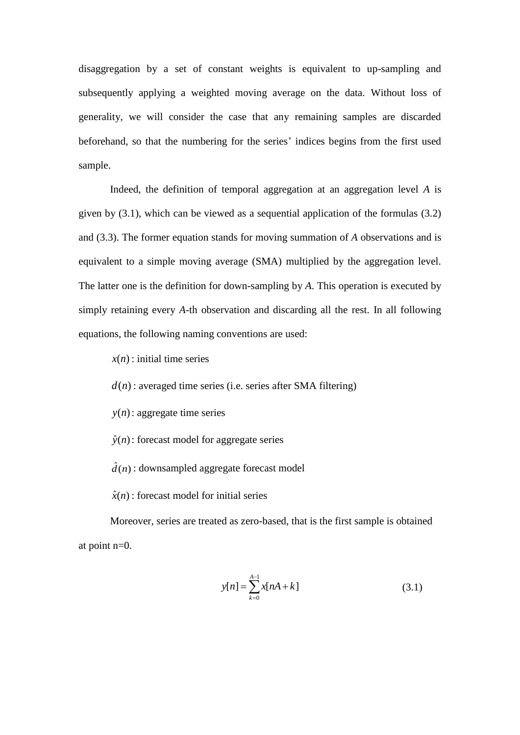disaggregation by a set of constant weights is equivalent to up-sampling and subsequently applying a weighted moving average on the data. Without loss of generality, we will consider the case that any remaining samples are discarded beforehand, so that the numbering for the series' indices begins from the first used sample.

Indeed, the definition of temporal aggregation at an aggregation level *A* is given by (3.1), which can be viewed as a sequential application of the formulas (3.2) and (3.3). The former equation stands for moving summation of *A* observations and is equivalent to a simple moving average (SMA) multiplied by the aggregation level. The latter one is the definition for down-sampling by *A*. This operation is executed by simply retaining every *A*-th observation and discarding all the rest. In all following equations, the following naming conventions are used:

*x*(*n*) : initial time series

*d*(*n*) : averaged time series (i.e. series after SMA filtering)

- *y*(*n*) : aggregate time series
- $\hat{y}(n)$ : forecast model for aggregate series
- $\hat{d}(n)$  : downsampled aggregate forecast model
- $\hat{x}(n)$ : forecast model for initial series

Moreover, series are treated as zero-based, that is the first sample is obtained at point n=0.

$$
y[n] = \sum_{k=0}^{A-1} x[nA+k]
$$
 (3.1)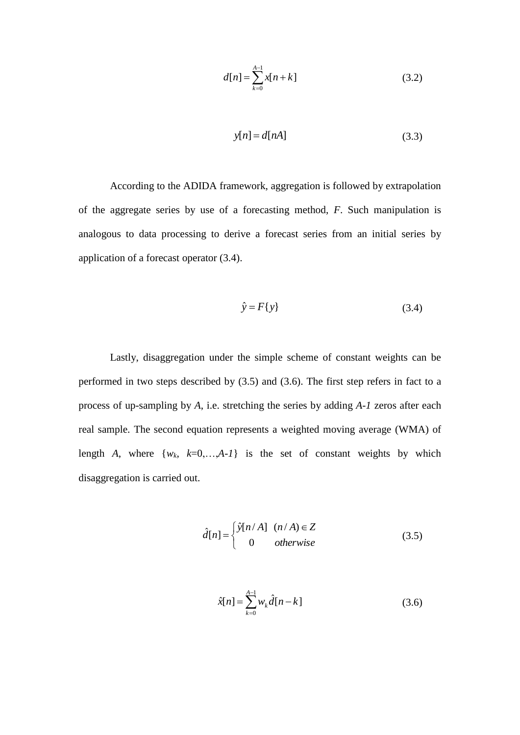$$
d[n] = \sum_{k=0}^{A-1} x[n+k]
$$
 (3.2)

$$
y[n] = d[nA] \tag{3.3}
$$

According to the ADIDA framework, aggregation is followed by extrapolation of the aggregate series by use of a forecasting method, *F*. Such manipulation is analogous to data processing to derive a forecast series from an initial series by application of a forecast operator (3.4).

$$
\hat{y} = F\{y\} \tag{3.4}
$$

Lastly, disaggregation under the simple scheme of constant weights can be performed in two steps described by (3.5) and (3.6). The first step refers in fact to a process of up-sampling by *A*, i.e. stretching the series by adding *A-1* zeros after each real sample. The second equation represents a weighted moving average (WMA) of length *A*, where  $\{w_k, k=0,\ldots,A-1\}$  is the set of constant weights by which disaggregation is carried out.

$$
\hat{d}[n] = \begin{cases} \hat{y}[n/A] & (n/A) \in Z \\ 0 & otherwise \end{cases}
$$
 (3.5)

$$
\hat{x}[n] = \sum_{k=0}^{A-1} w_k \hat{d}[n-k]
$$
\n(3.6)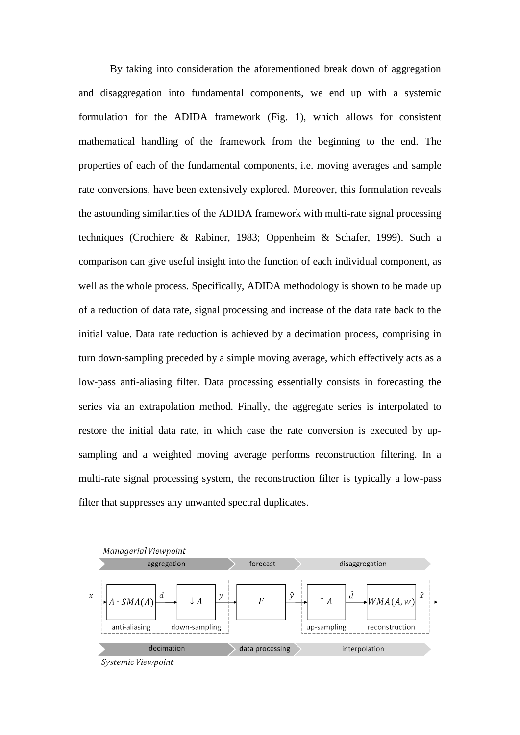By taking into consideration the aforementioned break down of aggregation and disaggregation into fundamental components, we end up with a systemic formulation for the ADIDA framework (Fig. 1), which allows for consistent mathematical handling of the framework from the beginning to the end. The properties of each of the fundamental components, i.e. moving averages and sample rate conversions, have been extensively explored. Moreover, this formulation reveals the astounding similarities of the ADIDA framework with multi-rate signal processing techniques (Crochiere & Rabiner, 1983; Oppenheim & Schafer, 1999). Such a comparison can give useful insight into the function of each individual component, as well as the whole process. Specifically, ADIDA methodology is shown to be made up of a reduction of data rate, signal processing and increase of the data rate back to the initial value. Data rate reduction is achieved by a decimation process, comprising in turn down-sampling preceded by a simple moving average, which effectively acts as a low-pass anti-aliasing filter. Data processing essentially consists in forecasting the series via an extrapolation method. Finally, the aggregate series is interpolated to restore the initial data rate, in which case the rate conversion is executed by upsampling and a weighted moving average performs reconstruction filtering. In a multi-rate signal processing system, the reconstruction filter is typically a low-pass filter that suppresses any unwanted spectral duplicates.

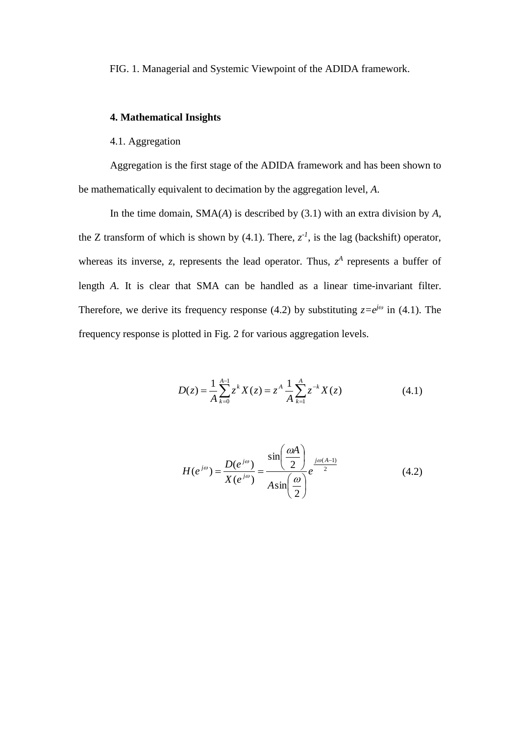FIG. 1. Managerial and Systemic Viewpoint of the ADIDA framework.

## **4. Mathematical Insights**

#### 4.1. Aggregation

Aggregation is the first stage of the ADIDA framework and has been shown to be mathematically equivalent to decimation by the aggregation level, *A*.

In the time domain, SMA(*A*) is described by (3.1) with an extra division by *A*, the Z transform of which is shown by (4.1). There,  $z^{-1}$ , is the lag (backshift) operator, whereas its inverse, *z*, represents the lead operator. Thus,  $z^A$  represents a buffer of length *A*. It is clear that SMA can be handled as a linear time-invariant filter. Therefore, we derive its frequency response (4.2) by substituting  $z=e^{j\omega}$  in (4.1). The frequency response is plotted in Fig. 2 for various aggregation levels.

$$
D(z) = \frac{1}{A} \sum_{k=0}^{A-1} z^k X(z) = z^A \frac{1}{A} \sum_{k=1}^{A} z^{-k} X(z)
$$
 (4.1)

$$
H(e^{j\omega}) = \frac{D(e^{j\omega})}{X(e^{j\omega})} = \frac{\sin\left(\frac{\omega A}{2}\right)}{A\sin\left(\frac{\omega}{2}\right)}e^{\frac{j\omega(A-1)}{2}}
$$
(4.2)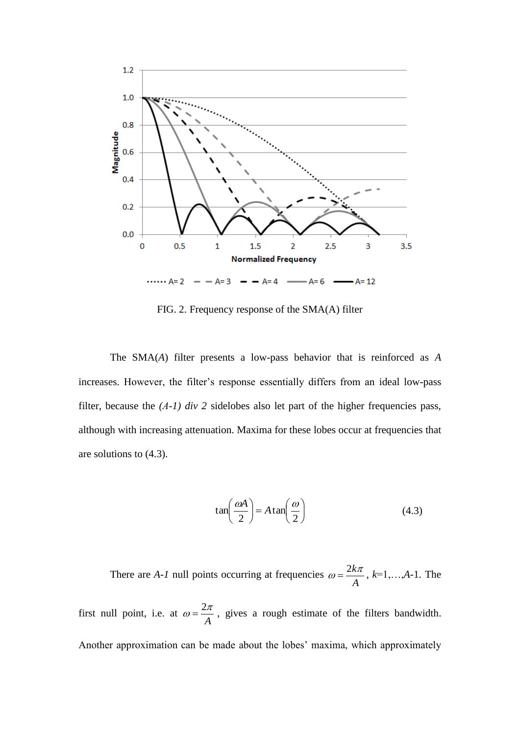

FIG. 2. Frequency response of the SMA(A) filter

The SMA(*A*) filter presents a low-pass behavior that is reinforced as *A* increases. However, the filter's response essentially differs from an ideal low-pass filter, because the *(A-1) div 2* sidelobes also let part of the higher frequencies pass, although with increasing attenuation. Maxima for these lobes occur at frequencies that are solutions to (4.3).

$$
\tan\left(\frac{\omega A}{2}\right) = A \tan\left(\frac{\omega}{2}\right) \tag{4.3}
$$

There are *A-1* null points occurring at frequencies *A*  $\omega = \frac{2k\pi}{\pi}$ ,  $k=1,...,A-1$ . The

first null point, i.e. at *A*  $\omega = \frac{2\pi}{\pi}$ , gives a rough estimate of the filters bandwidth. Another approximation can be made about the lobes' maxima, which approximately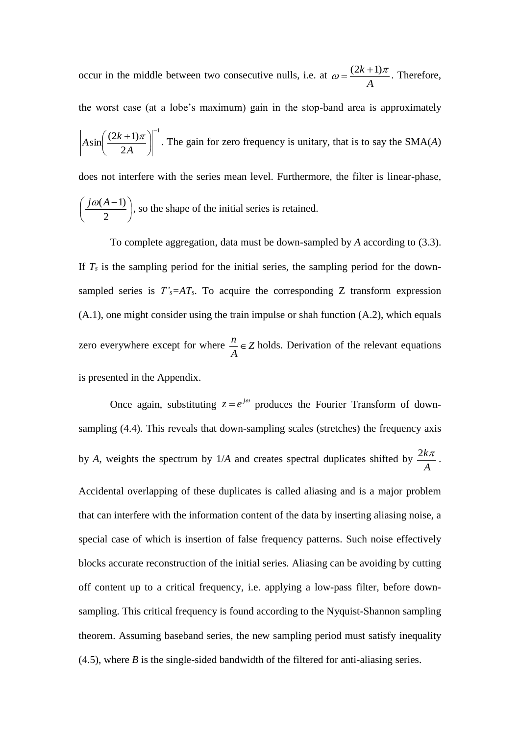occur in the middle between two consecutive nulls, i.e. at *A*  $\omega = \frac{(2k+1)\pi}{4}$ . Therefore, the worst case (at a lobe's maximum) gain in the stop-band area is approximately 1 2  $\sin\left(\frac{(2k+1)}{2}\right)$  $\overline{a}$  $\overline{\phantom{a}}$ J  $\left(\frac{(2k+1)\pi}{2\mu}\right)$  $\setminus$  $(2k +$ *A*  $A\sin\left(\frac{(2k+1)\pi}{2}\right)$ . The gain for zero frequency is unitary, that is to say the SMA(*A*) does not interfere with the series mean level. Furthermore, the filter is linear-phase,  $\overline{\phantom{a}}$ J  $\left(\frac{j\omega(A-1)}{2}\right)$  $\setminus$  $\int j\omega (A -$ 2  $\left(\frac{j\omega(A-1)}{2}\right)$ , so the shape of the initial series is retained.

To complete aggregation, data must be down-sampled by *A* according to (3.3). If  $T<sub>s</sub>$  is the sampling period for the initial series, the sampling period for the downsampled series is  $T'_{s} = AT_{s}$ . To acquire the corresponding Z transform expression (A.1), one might consider using the train impulse or shah function (A.2), which equals zero everywhere except for where  $\frac{n}{\cdot} \in \mathbb{Z}$ *A*  $\frac{n}{n} \in Z$  holds. Derivation of the relevant equations is presented in the Appendix.

Once again, substituting  $z = e^{j\omega}$  produces the Fourier Transform of downsampling (4.4). This reveals that down-sampling scales (stretches) the frequency axis by *A*, weights the spectrum by 1/*A* and creates spectral duplicates shifted by *A*  $\frac{2k\pi}{\pi}$ . Accidental overlapping of these duplicates is called aliasing and is a major problem that can interfere with the information content of the data by inserting aliasing noise, a special case of which is insertion of false frequency patterns. Such noise effectively blocks accurate reconstruction of the initial series. Aliasing can be avoiding by cutting off content up to a critical frequency, i.e. applying a low-pass filter, before downsampling. This critical frequency is found according to the Nyquist-Shannon sampling theorem. Assuming baseband series, the new sampling period must satisfy inequality (4.5), where *B* is the single-sided bandwidth of the filtered for anti-aliasing series.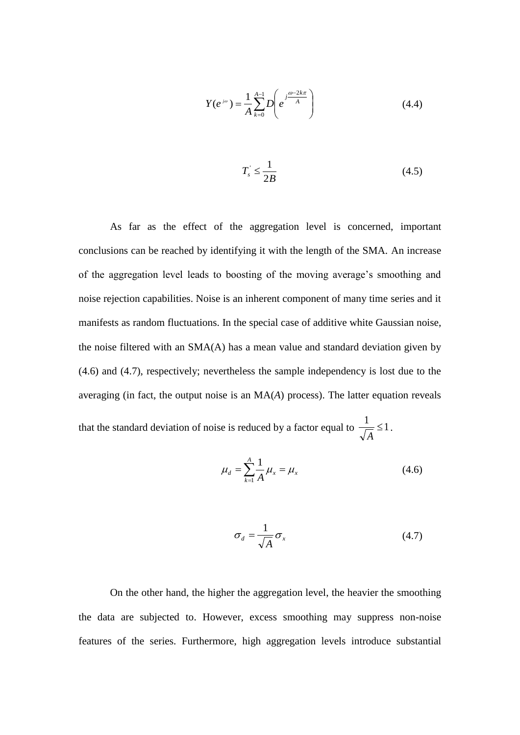$$
Y(e^{j\omega}) = \frac{1}{A} \sum_{k=0}^{A-1} D\left(e^{j\frac{\omega - 2k\pi}{A}}\right)
$$
 (4.4)

$$
T_s \le \frac{1}{2B} \tag{4.5}
$$

As far as the effect of the aggregation level is concerned, important conclusions can be reached by identifying it with the length of the SMA. An increase of the aggregation level leads to boosting of the moving average's smoothing and noise rejection capabilities. Noise is an inherent component of many time series and it manifests as random fluctuations. In the special case of additive white Gaussian noise, the noise filtered with an SMA(A) has a mean value and standard deviation given by (4.6) and (4.7), respectively; nevertheless the sample independency is lost due to the averaging (in fact, the output noise is an MA(*A*) process). The latter equation reveals that the standard deviation of noise is reduced by a factor equal to  $\frac{1}{\sqrt{2}} \leq 1$ *A* .

$$
\mu_d = \sum_{k=1}^{A} \frac{1}{A} \mu_x = \mu_x \tag{4.6}
$$

$$
\sigma_d = \frac{1}{\sqrt{A}} \sigma_x \tag{4.7}
$$

On the other hand, the higher the aggregation level, the heavier the smoothing the data are subjected to. However, excess smoothing may suppress non-noise features of the series. Furthermore, high aggregation levels introduce substantial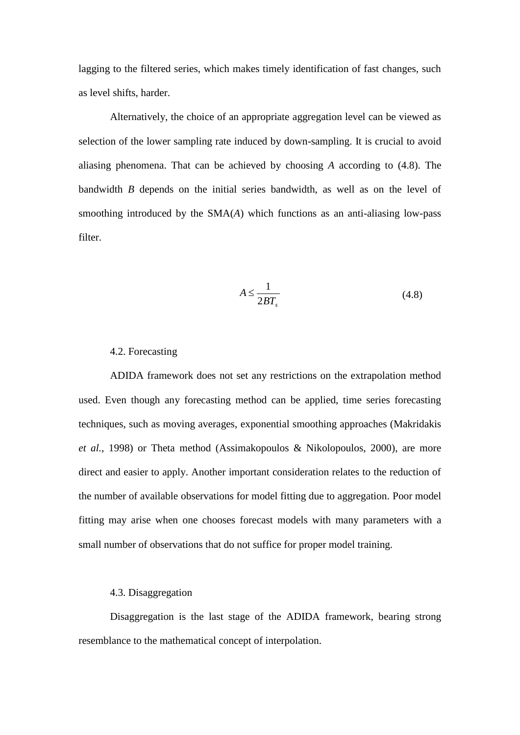lagging to the filtered series, which makes timely identification of fast changes, such as level shifts, harder.

Alternatively, the choice of an appropriate aggregation level can be viewed as selection of the lower sampling rate induced by down-sampling. It is crucial to avoid aliasing phenomena. That can be achieved by choosing *A* according to (4.8). The bandwidth *B* depends on the initial series bandwidth, as well as on the level of smoothing introduced by the SMA(*A*) which functions as an anti-aliasing low-pass filter.

$$
A \le \frac{1}{2BT_s} \tag{4.8}
$$

#### 4.2. Forecasting

ADIDA framework does not set any restrictions on the extrapolation method used. Even though any forecasting method can be applied, time series forecasting techniques, such as moving averages, exponential smoothing approaches (Makridakis *et al.*, 1998) or Theta method (Assimakopoulos & Nikolopoulos, 2000), are more direct and easier to apply. Another important consideration relates to the reduction of the number of available observations for model fitting due to aggregation. Poor model fitting may arise when one chooses forecast models with many parameters with a small number of observations that do not suffice for proper model training.

#### 4.3. Disaggregation

Disaggregation is the last stage of the ADIDA framework, bearing strong resemblance to the mathematical concept of interpolation.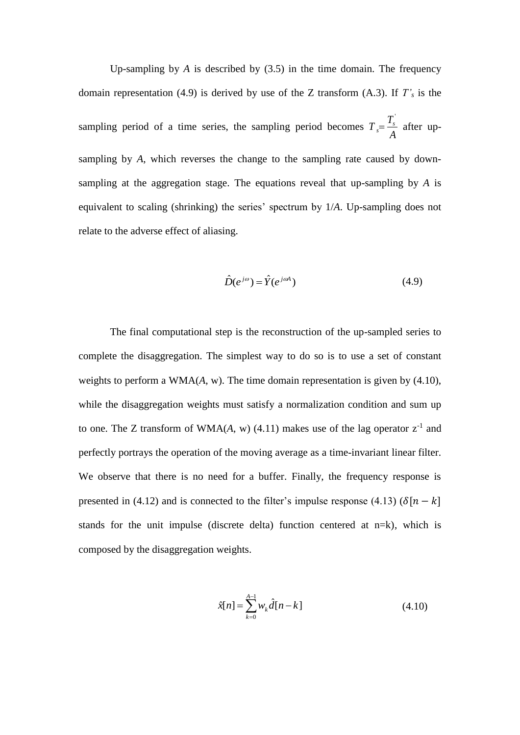Up-sampling by  $\hat{A}$  is described by  $(3.5)$  in the time domain. The frequency domain representation (4.9) is derived by use of the Z transform (A.3). If *T'<sup>s</sup>* is the sampling period of a time series, the sampling period becomes *A T*  $T = \frac{I_s}{I}$ *s*  $=\frac{T_s}{T}$  after upsampling by *A*, which reverses the change to the sampling rate caused by downsampling at the aggregation stage. The equations reveal that up-sampling by *A* is equivalent to scaling (shrinking) the series' spectrum by 1/*A*. Up-sampling does not relate to the adverse effect of aliasing.

$$
\hat{D}(e^{j\omega}) = \hat{Y}(e^{j\omega A})
$$
\n(4.9)

The final computational step is the reconstruction of the up-sampled series to complete the disaggregation. The simplest way to do so is to use a set of constant weights to perform a WMA(*A*, w). The time domain representation is given by (4.10), while the disaggregation weights must satisfy a normalization condition and sum up to one. The Z transform of WMA $(A, w)$   $(4.11)$  makes use of the lag operator  $z^{-1}$  and perfectly portrays the operation of the moving average as a time-invariant linear filter. We observe that there is no need for a buffer. Finally, the frequency response is presented in (4.12) and is connected to the filter's impulse response (4.13) ( $\delta[n - k]$ stands for the unit impulse (discrete delta) function centered at n=k), which is composed by the disaggregation weights.

$$
\hat{x}[n] = \sum_{k=0}^{A-1} w_k \hat{d}[n-k]
$$
\n(4.10)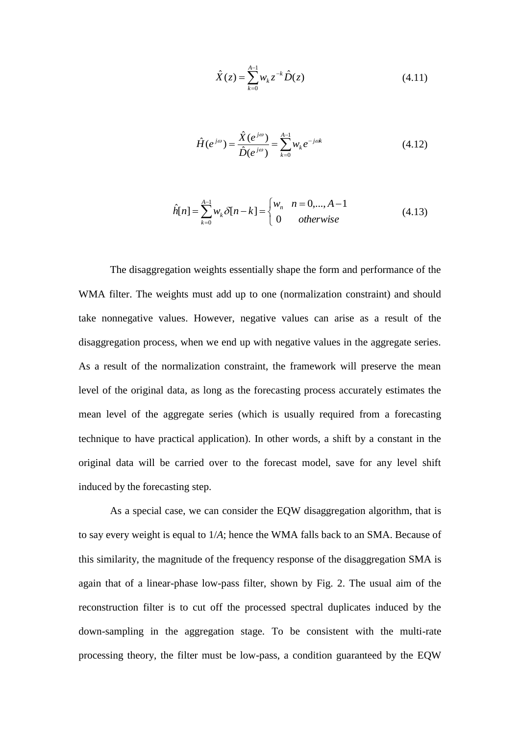$$
\hat{X}(z) = \sum_{k=0}^{A-1} w_k z^{-k} \hat{D}(z)
$$
\n(4.11)

$$
\hat{H}(e^{j\omega}) = \frac{\hat{X}(e^{j\omega})}{\hat{D}(e^{j\omega})} = \sum_{k=0}^{A-1} w_k e^{-j\omega k}
$$
(4.12)

$$
\hat{h}[n] = \sum_{k=0}^{A-1} w_k \delta[n-k] = \begin{cases} w_n & n = 0, ..., A-1 \\ 0 & otherwise \end{cases}
$$
 (4.13)

The disaggregation weights essentially shape the form and performance of the WMA filter. The weights must add up to one (normalization constraint) and should take nonnegative values. However, negative values can arise as a result of the disaggregation process, when we end up with negative values in the aggregate series. As a result of the normalization constraint, the framework will preserve the mean level of the original data, as long as the forecasting process accurately estimates the mean level of the aggregate series (which is usually required from a forecasting technique to have practical application). In other words, a shift by a constant in the original data will be carried over to the forecast model, save for any level shift induced by the forecasting step.

As a special case, we can consider the EQW disaggregation algorithm, that is to say every weight is equal to 1/*A*; hence the WMA falls back to an SMA. Because of this similarity, the magnitude of the frequency response of the disaggregation SMA is again that of a linear-phase low-pass filter, shown by Fig. 2. The usual aim of the reconstruction filter is to cut off the processed spectral duplicates induced by the down-sampling in the aggregation stage. To be consistent with the multi-rate processing theory, the filter must be low-pass, a condition guaranteed by the EQW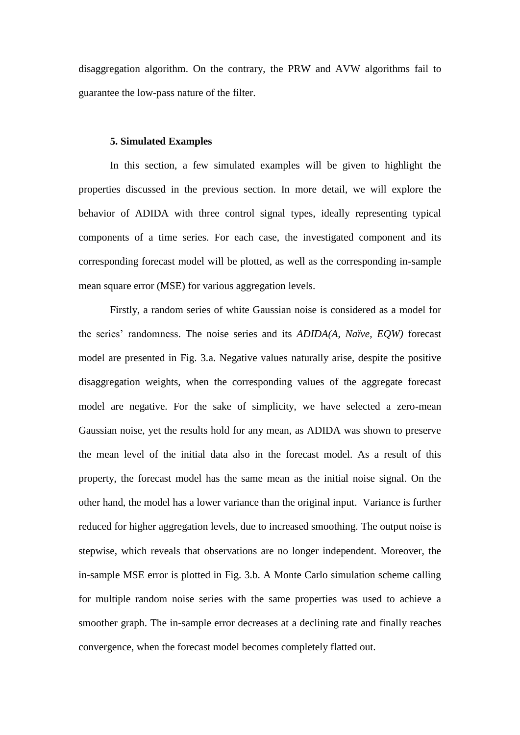disaggregation algorithm. On the contrary, the PRW and AVW algorithms fail to guarantee the low-pass nature of the filter.

#### **5. Simulated Examples**

In this section, a few simulated examples will be given to highlight the properties discussed in the previous section. In more detail, we will explore the behavior of ADIDA with three control signal types, ideally representing typical components of a time series. For each case, the investigated component and its corresponding forecast model will be plotted, as well as the corresponding in-sample mean square error (MSE) for various aggregation levels.

Firstly, a random series of white Gaussian noise is considered as a model for the series' randomness. The noise series and its *ADIDA(A, Naïve, EQW)* forecast model are presented in Fig. 3.a. Negative values naturally arise, despite the positive disaggregation weights, when the corresponding values of the aggregate forecast model are negative. For the sake of simplicity, we have selected a zero-mean Gaussian noise, yet the results hold for any mean, as ADIDA was shown to preserve the mean level of the initial data also in the forecast model. As a result of this property, the forecast model has the same mean as the initial noise signal. On the other hand, the model has a lower variance than the original input. Variance is further reduced for higher aggregation levels, due to increased smoothing. The output noise is stepwise, which reveals that observations are no longer independent. Moreover, the in-sample MSE error is plotted in Fig. 3.b. A Monte Carlo simulation scheme calling for multiple random noise series with the same properties was used to achieve a smoother graph. The in-sample error decreases at a declining rate and finally reaches convergence, when the forecast model becomes completely flatted out.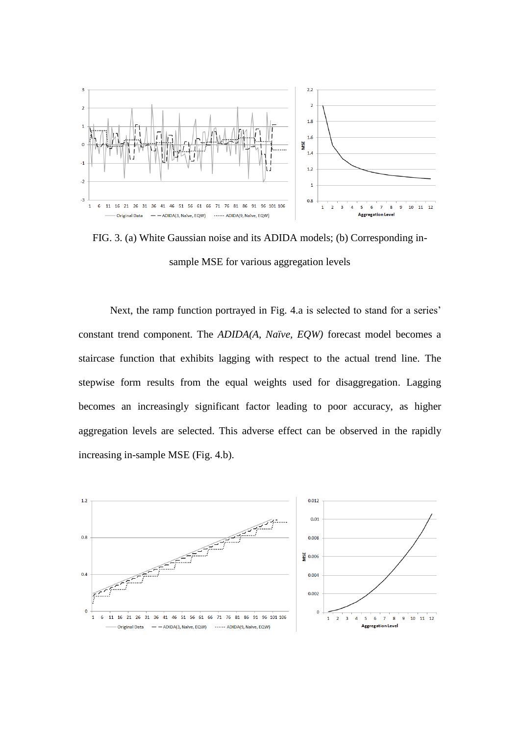

FIG. 3. (a) White Gaussian noise and its ADIDA models; (b) Corresponding insample MSE for various aggregation levels

Next, the ramp function portrayed in Fig. 4.a is selected to stand for a series' constant trend component. The *ADIDA(A, Naïve, EQW)* forecast model becomes a staircase function that exhibits lagging with respect to the actual trend line. The stepwise form results from the equal weights used for disaggregation. Lagging becomes an increasingly significant factor leading to poor accuracy, as higher aggregation levels are selected. This adverse effect can be observed in the rapidly increasing in-sample MSE (Fig. 4.b).

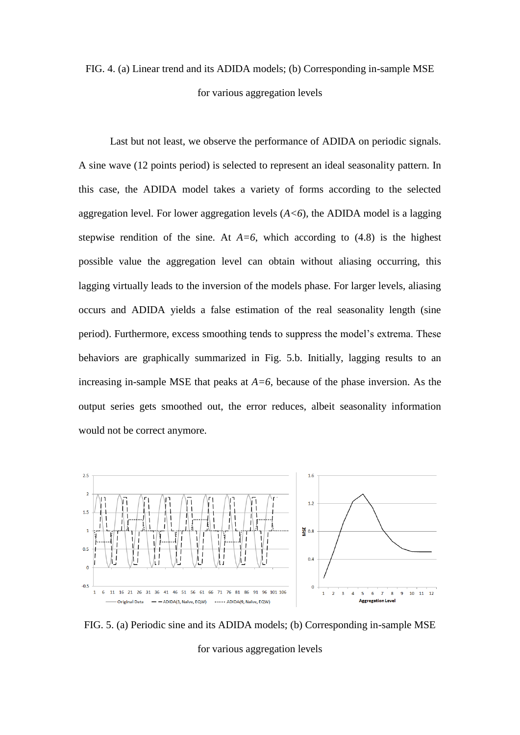# FIG. 4. (a) Linear trend and its ADIDA models; (b) Corresponding in-sample MSE for various aggregation levels

Last but not least, we observe the performance of ADIDA on periodic signals. A sine wave (12 points period) is selected to represent an ideal seasonality pattern. In this case, the ADIDA model takes a variety of forms according to the selected aggregation level. For lower aggregation levels  $(A \le 6)$ , the ADIDA model is a lagging stepwise rendition of the sine. At  $A=6$ , which according to  $(4.8)$  is the highest possible value the aggregation level can obtain without aliasing occurring, this lagging virtually leads to the inversion of the models phase. For larger levels, aliasing occurs and ADIDA yields a false estimation of the real seasonality length (sine period). Furthermore, excess smoothing tends to suppress the model's extrema. These behaviors are graphically summarized in Fig. 5.b. Initially, lagging results to an increasing in-sample MSE that peaks at  $A=6$ , because of the phase inversion. As the output series gets smoothed out, the error reduces, albeit seasonality information would not be correct anymore.



FIG. 5. (a) Periodic sine and its ADIDA models; (b) Corresponding in-sample MSE for various aggregation levels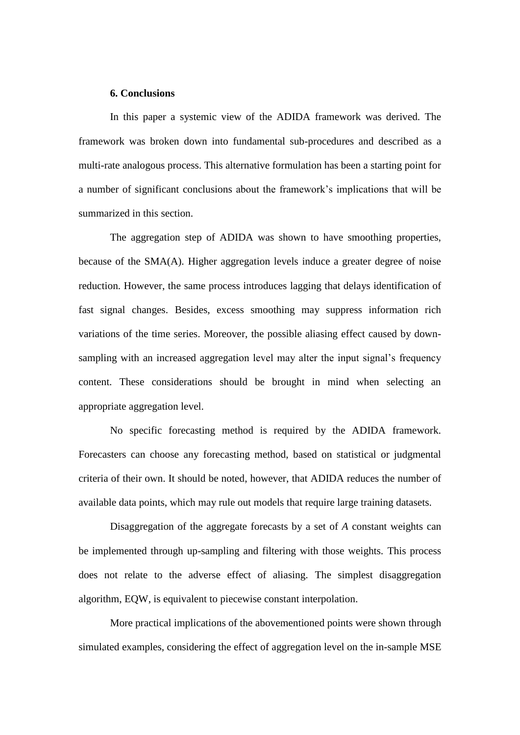#### **6. Conclusions**

In this paper a systemic view of the ADIDA framework was derived. The framework was broken down into fundamental sub-procedures and described as a multi-rate analogous process. This alternative formulation has been a starting point for a number of significant conclusions about the framework's implications that will be summarized in this section.

The aggregation step of ADIDA was shown to have smoothing properties, because of the SMA(A). Higher aggregation levels induce a greater degree of noise reduction. However, the same process introduces lagging that delays identification of fast signal changes. Besides, excess smoothing may suppress information rich variations of the time series. Moreover, the possible aliasing effect caused by downsampling with an increased aggregation level may alter the input signal's frequency content. These considerations should be brought in mind when selecting an appropriate aggregation level.

No specific forecasting method is required by the ADIDA framework. Forecasters can choose any forecasting method, based on statistical or judgmental criteria of their own. It should be noted, however, that ADIDA reduces the number of available data points, which may rule out models that require large training datasets.

Disaggregation of the aggregate forecasts by a set of *A* constant weights can be implemented through up-sampling and filtering with those weights. This process does not relate to the adverse effect of aliasing. The simplest disaggregation algorithm, EQW, is equivalent to piecewise constant interpolation.

More practical implications of the abovementioned points were shown through simulated examples, considering the effect of aggregation level on the in-sample MSE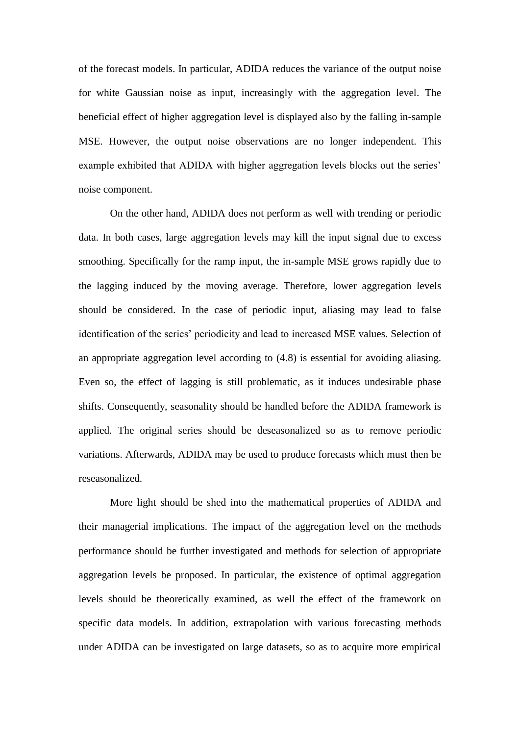of the forecast models. In particular, ADIDA reduces the variance of the output noise for white Gaussian noise as input, increasingly with the aggregation level. The beneficial effect of higher aggregation level is displayed also by the falling in-sample MSE. However, the output noise observations are no longer independent. This example exhibited that ADIDA with higher aggregation levels blocks out the series' noise component.

On the other hand, ADIDA does not perform as well with trending or periodic data. In both cases, large aggregation levels may kill the input signal due to excess smoothing. Specifically for the ramp input, the in-sample MSE grows rapidly due to the lagging induced by the moving average. Therefore, lower aggregation levels should be considered. In the case of periodic input, aliasing may lead to false identification of the series' periodicity and lead to increased MSE values. Selection of an appropriate aggregation level according to (4.8) is essential for avoiding aliasing. Even so, the effect of lagging is still problematic, as it induces undesirable phase shifts. Consequently, seasonality should be handled before the ADIDA framework is applied. The original series should be deseasonalized so as to remove periodic variations. Afterwards, ADIDA may be used to produce forecasts which must then be reseasonalized.

More light should be shed into the mathematical properties of ADIDA and their managerial implications. The impact of the aggregation level on the methods performance should be further investigated and methods for selection of appropriate aggregation levels be proposed. In particular, the existence of optimal aggregation levels should be theoretically examined, as well the effect of the framework on specific data models. In addition, extrapolation with various forecasting methods under ADIDA can be investigated on large datasets, so as to acquire more empirical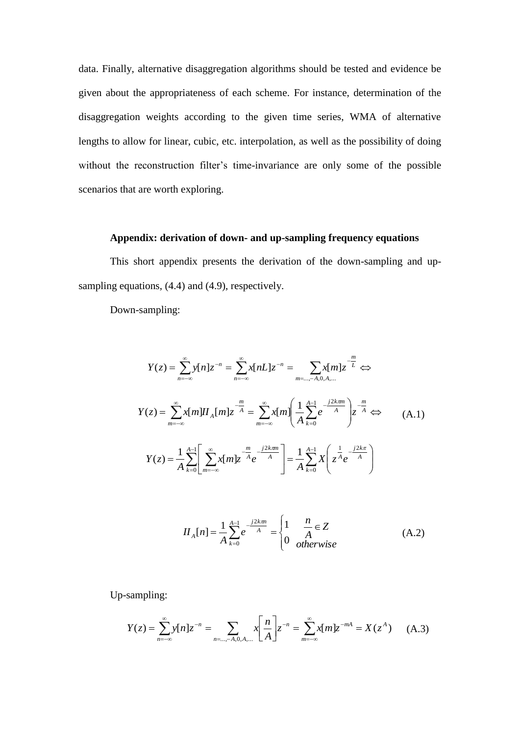data. Finally, alternative disaggregation algorithms should be tested and evidence be given about the appropriateness of each scheme. For instance, determination of the disaggregation weights according to the given time series, WMA of alternative lengths to allow for linear, cubic, etc. interpolation, as well as the possibility of doing without the reconstruction filter's time-invariance are only some of the possible scenarios that are worth exploring.

## **Appendix: derivation of down- and up-sampling frequency equations**

This short appendix presents the derivation of the down-sampling and upsampling equations,  $(4.4)$  and  $(4.9)$ , respectively.

Down-sampling:

$$
Y(z) = \sum_{n=-\infty}^{\infty} y[n]z^{-n} = \sum_{n=-\infty}^{\infty} x[nL]z^{-n} = \sum_{m=-\infty}^{\infty} x[m]z^{-\frac{m}{L}} \Leftrightarrow
$$
  
\n
$$
Y(z) = \sum_{m=-\infty}^{\infty} x[m]H_A[m]z^{-\frac{m}{A}} = \sum_{m=-\infty}^{\infty} x[m] \left(\frac{1}{A} \sum_{k=0}^{A-1} e^{-j2k\pi m} \right) z^{-\frac{m}{A}} \Leftrightarrow
$$
  
\n
$$
Y(z) = \frac{1}{A} \sum_{k=0}^{A-1} \left[ \sum_{m=-\infty}^{\infty} x[m]z^{-\frac{m}{A}} e^{-j2k\pi m} \right] = \frac{1}{A} \sum_{k=0}^{A-1} X\left(z^{\frac{1}{A}} e^{-j\frac{2k\pi}{A}}\right)
$$
  
\n(A.1)

$$
II_A[n] = \frac{1}{A} \sum_{k=0}^{A-1} e^{-\frac{j2k\pi n}{A}} = \begin{cases} 1 & \frac{n}{A} \in Z \\ 0 & \text{otherwise} \end{cases}
$$
 (A.2)

Up-sampling:

$$
Y(z) = \sum_{n=-\infty}^{\infty} y[n]z^{-n} = \sum_{n=-\infty}^{\infty} x \left[ \frac{n}{A} \right] z^{-n} = \sum_{m=-\infty}^{\infty} x[m]z^{-mA} = X(z^A) \tag{A.3}
$$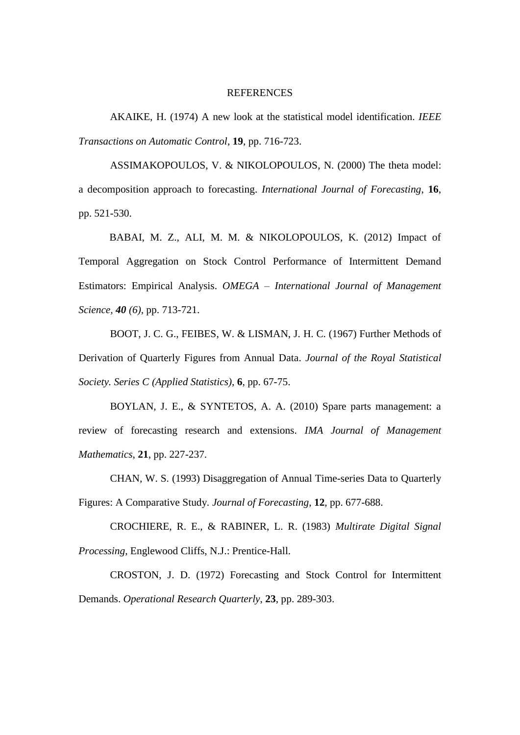#### REFERENCES

[AKAIKE, Η.](http://en.wikipedia.org/wiki/Hirotsugu_Akaike) (1974) A new look at the statistical model identification. *IEEE Transactions on Automatic Control*, **19**, pp. 716-723.

ASSIMAKOPOULOS, V. & NIKOLOPOULOS, N. (2000) The theta model: a decomposition approach to forecasting. *International Journal of Forecasting*, **16**, pp. 521-530.

BABAI, M. Z., ALI, M. M. & NIKOLOPOULOS, K. (2012) Impact of Temporal Aggregation on Stock Control Performance of Intermittent Demand Estimators: Empirical Analysis. *OMEGA – International Journal of Management Science, 40 (6)*, pp. 713-721.

BOOT, J. C. G., FEIBES, W. & LISMAN, J. H. C. (1967) Further Methods of Derivation of Quarterly Figures from Annual Data. *Journal of the Royal Statistical Society. Series C (Applied Statistics)*, **6**, pp. 67-75.

BOYLAN, J. E., & SYNTETOS, A. A. (2010) Spare parts management: a review of forecasting research and extensions. *IMA Journal of Management Mathematics*, **21**, pp. 227-237.

CHAN, W. S. (1993) Disaggregation of Annual Time-series Data to Quarterly Figures: A Comparative Study. *Journal of Forecasting*, **12**, pp. 677-688.

CROCHIERE, R. E., & RABINER, L. R. (1983) *Multirate Digital Signal Processing*, Englewood Cliffs, N.J.: Prentice-Hall.

CROSTON, J. D. (1972) Forecasting and Stock Control for Intermittent Demands. *Operational Research Quarterly*, **23**, pp. 289-303.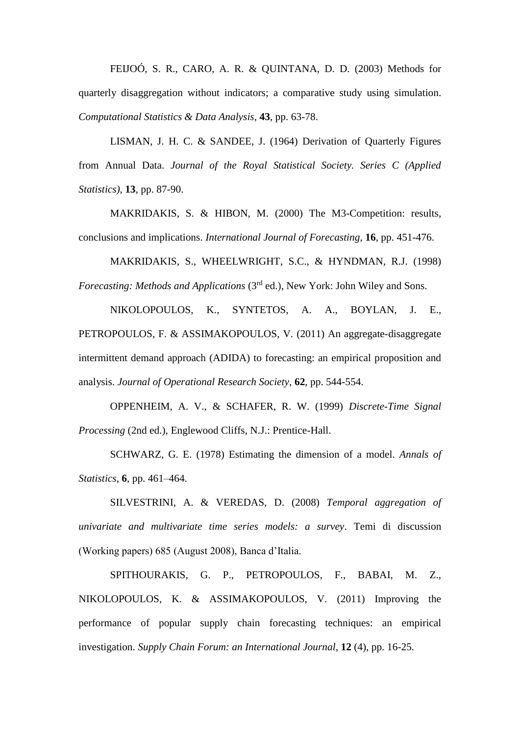FEIJOÓ, S. R., CARO, A. R. & QUINTANA, D. D. (2003) Methods for quarterly disaggregation without indicators; a comparative study using simulation. *Computational Statistics & Data Analysis*, **43**, pp. 63-78.

LISMAN, J. H. C. & SANDEE, J. (1964) Derivation of Quarterly Figures from Annual Data. *Journal of the Royal Statistical Society. Series C (Applied Statistics)*, **13**, pp. 87-90.

MAKRIDAKIS, S. & HIBON, M. (2000) The M3-Competition: results, conclusions and implications. *International Journal of Forecasting*, **16**, pp. 451-476.

MAKRIDAKIS, S., WHEELWRIGHT, S.C., & HYNDMAN, R.J. (1998) *Forecasting: Methods and Applications (3<sup>rd</sup> ed.), New York: John Wiley and Sons.* 

NIKOLOPOULOS, K., SYNTETOS, A. A., BOYLAN, J. E., PETROPOULOS, F. & ASSIMAKOPOULOS, V. (2011) An aggregate-disaggregate intermittent demand approach (ADIDA) to forecasting: an empirical proposition and analysis. *Journal of Operational Research Society*, **62**, pp. 544-554.

OPPENHEIM, A. V., & SCHAFER, R. W. (1999) *Discrete-Time Signal Processing* (2nd ed.), Englewood Cliffs, N.J.: Prentice-Hall.

SCHWARZ, G. E. (1978) Estimating the dimension of a model. *Annals of Statistics*, **6**, pp. 461–464.

SILVESTRINI, A. & VEREDAS, D. (2008) *Temporal aggregation of univariate and multivariate time series models: a survey*. Temi di discussion (Working papers) 685 (August 2008), Banca d'Italia.

SPITHOURAKIS, G. P., PETROPOULOS, F., BABAI, M. Z., NIKOLOPOULOS, K. & ASSIMAKOPOULOS, V. (2011) Improving the performance of popular supply chain forecasting techniques: an empirical investigation. *Supply Chain Forum: an International Journal*, **12** (4), pp. 16-25.